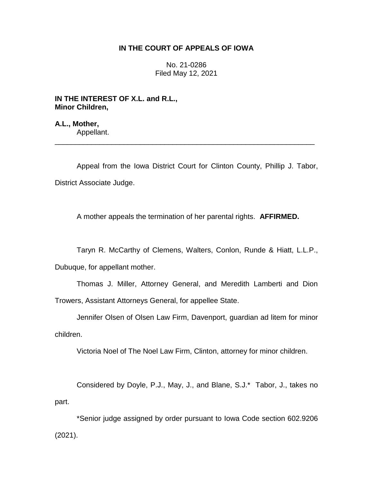## **IN THE COURT OF APPEALS OF IOWA**

No. 21-0286 Filed May 12, 2021

**IN THE INTEREST OF X.L. and R.L., Minor Children,**

**A.L., Mother,** Appellant.

Appeal from the Iowa District Court for Clinton County, Phillip J. Tabor, District Associate Judge.

\_\_\_\_\_\_\_\_\_\_\_\_\_\_\_\_\_\_\_\_\_\_\_\_\_\_\_\_\_\_\_\_\_\_\_\_\_\_\_\_\_\_\_\_\_\_\_\_\_\_\_\_\_\_\_\_\_\_\_\_\_\_\_\_

A mother appeals the termination of her parental rights. **AFFIRMED.**

Taryn R. McCarthy of Clemens, Walters, Conlon, Runde & Hiatt, L.L.P., Dubuque, for appellant mother.

Thomas J. Miller, Attorney General, and Meredith Lamberti and Dion Trowers, Assistant Attorneys General, for appellee State.

Jennifer Olsen of Olsen Law Firm, Davenport, guardian ad litem for minor children.

Victoria Noel of The Noel Law Firm, Clinton, attorney for minor children.

Considered by Doyle, P.J., May, J., and Blane, S.J.\* Tabor, J., takes no part.

\*Senior judge assigned by order pursuant to Iowa Code section 602.9206 (2021).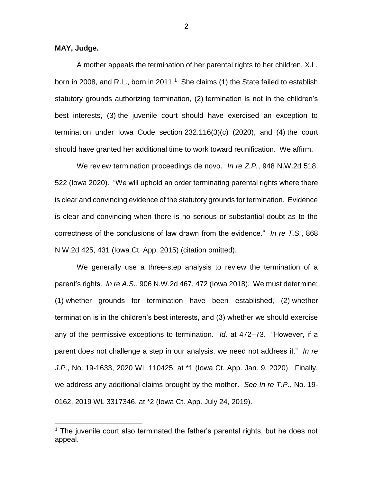**MAY, Judge.**

 $\overline{a}$ 

A mother appeals the termination of her parental rights to her children, X.L, born in 2008, and R.L., born in 2011.<sup>1</sup> She claims (1) the State failed to establish statutory grounds authorizing termination, (2) termination is not in the children's best interests, (3) the juvenile court should have exercised an exception to termination under Iowa Code section 232.116(3)(c) (2020), and (4) the court should have granted her additional time to work toward reunification. We affirm.

We review termination proceedings de novo. *In re Z.P.*, 948 N.W.2d 518, 522 (Iowa 2020). "We will uphold an order terminating parental rights where there is clear and convincing evidence of the statutory grounds for termination. Evidence is clear and convincing when there is no serious or substantial doubt as to the correctness of the conclusions of law drawn from the evidence." *In re T.S.*, 868 N.W.2d 425, 431 (Iowa Ct. App. 2015) (citation omitted).

We generally use a three-step analysis to review the termination of a parent's rights. *In re A.S.*, 906 N.W.2d 467, 472 (Iowa 2018). We must determine: (1) whether grounds for termination have been established, (2) whether termination is in the children's best interests, and (3) whether we should exercise any of the permissive exceptions to termination. *Id.* at 472–73. "However, if a parent does not challenge a step in our analysis, we need not address it." *In re J.P.*, No. 19-1633, 2020 WL 110425, at \*1 (Iowa Ct. App. Jan. 9, 2020). Finally, we address any additional claims brought by the mother. *See In re T.P.*, No. 19- 0162, 2019 WL 3317346, at \*2 (Iowa Ct. App. July 24, 2019).

 $1$  The juvenile court also terminated the father's parental rights, but he does not appeal.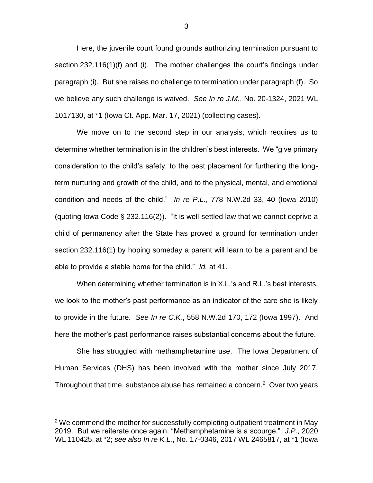Here, the juvenile court found grounds authorizing termination pursuant to section 232.116(1)(f) and (i). The mother challenges the court's findings under paragraph (i). But she raises no challenge to termination under paragraph (f). So we believe any such challenge is waived. *See In re J.M.*, No. 20-1324, 2021 WL 1017130, at \*1 (Iowa Ct. App. Mar. 17, 2021) (collecting cases).

We move on to the second step in our analysis, which requires us to determine whether termination is in the children's best interests. We "give primary consideration to the child's safety, to the best placement for furthering the longterm nurturing and growth of the child, and to the physical, mental, and emotional condition and needs of the child." *In re P.L.*, 778 N.W.2d 33, 40 (Iowa 2010) (quoting lowa Code § 232.116(2)). "It is well-settled law that we cannot deprive a child of permanency after the State has proved a ground for termination under section 232.116(1) by hoping someday a parent will learn to be a parent and be able to provide a stable home for the child." *Id.* at 41.

When determining whether termination is in X.L.'s and R.L.'s best interests, we look to the mother's past performance as an indicator of the care she is likely to provide in the future. *See In re C.K.*, 558 N.W.2d 170, 172 (Iowa 1997). And here the mother's past performance raises substantial concerns about the future.

She has struggled with methamphetamine use. The Iowa Department of Human Services (DHS) has been involved with the mother since July 2017. Throughout that time, substance abuse has remained a concern. $2$  Over two years

 $\overline{a}$ 

 $2$  We commend the mother for successfully completing outpatient treatment in May 2019. But we reiterate once again, "Methamphetamine is a scourge." *J.P.*, 2020 WL 110425, at \*2; *see also In re K.L.*, No. 17-0346, 2017 WL 2465817, at \*1 (Iowa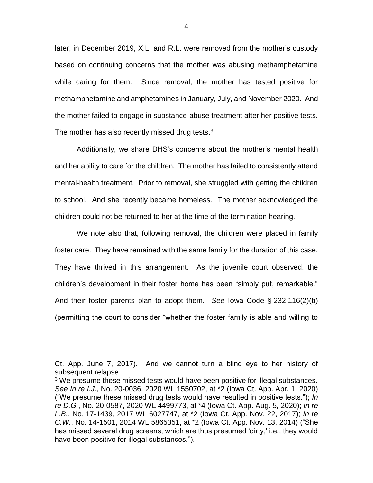later, in December 2019, X.L. and R.L. were removed from the mother's custody based on continuing concerns that the mother was abusing methamphetamine while caring for them. Since removal, the mother has tested positive for methamphetamine and amphetamines in January, July, and November 2020. And the mother failed to engage in substance-abuse treatment after her positive tests. The mother has also recently missed drug tests. $3$ 

Additionally, we share DHS's concerns about the mother's mental health and her ability to care for the children. The mother has failed to consistently attend mental-health treatment. Prior to removal, she struggled with getting the children to school. And she recently became homeless. The mother acknowledged the children could not be returned to her at the time of the termination hearing.

We note also that, following removal, the children were placed in family foster care. They have remained with the same family for the duration of this case. They have thrived in this arrangement. As the juvenile court observed, the children's development in their foster home has been "simply put, remarkable." And their foster parents plan to adopt them. *See* Iowa Code § 232.116(2)(b) (permitting the court to consider "whether the foster family is able and willing to

 $\overline{a}$ 

Ct. App. June 7, 2017). And we cannot turn a blind eye to her history of subsequent relapse.

 $3$  We presume these missed tests would have been positive for illegal substances. *See In re I.J.*, No. 20-0036, 2020 WL 1550702, at \*2 (Iowa Ct. App. Apr. 1, 2020) ("We presume these missed drug tests would have resulted in positive tests."); *In re D.G.*, No. 20-0587, 2020 WL 4499773, at \*4 (Iowa Ct. App. Aug. 5, 2020); *In re L.B.*, No. 17-1439, 2017 WL 6027747, at \*2 (Iowa Ct. App. Nov. 22, 2017); *In re C.W.*, No. 14-1501, 2014 WL 5865351, at \*2 (Iowa Ct. App. Nov. 13, 2014) ("She has missed several drug screens, which are thus presumed 'dirty,' i.e., they would have been positive for illegal substances.").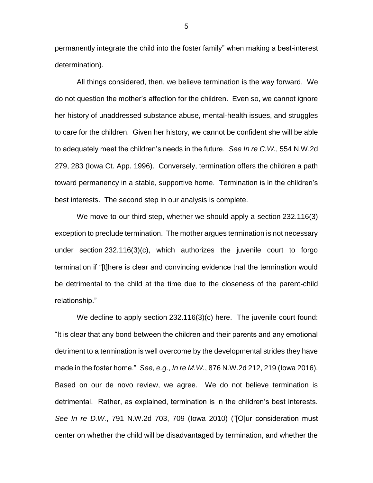permanently integrate the child into the foster family" when making a best-interest determination).

All things considered, then, we believe termination is the way forward. We do not question the mother's affection for the children. Even so, we cannot ignore her history of unaddressed substance abuse, mental-health issues, and struggles to care for the children. Given her history, we cannot be confident she will be able to adequately meet the children's needs in the future. *See In re C.W.*, 554 N.W.2d 279, 283 (Iowa Ct. App. 1996). Conversely, termination offers the children a path toward permanency in a stable, supportive home. Termination is in the children's best interests. The second step in our analysis is complete.

We move to our third step, whether we should apply a section 232.116(3) exception to preclude termination. The mother argues termination is not necessary under section 232.116(3)(c), which authorizes the juvenile court to forgo termination if "[t]here is clear and convincing evidence that the termination would be detrimental to the child at the time due to the closeness of the parent-child relationship."

We decline to apply section 232.116(3)(c) here. The juvenile court found: "It is clear that any bond between the children and their parents and any emotional detriment to a termination is well overcome by the developmental strides they have made in the foster home." *See, e.g.*, *In re M.W.*, 876 N.W.2d 212, 219 (Iowa 2016). Based on our de novo review, we agree. We do not believe termination is detrimental. Rather, as explained, termination is in the children's best interests. *See In re D.W.*, 791 N.W.2d 703, 709 (Iowa 2010) ("[O]ur consideration must center on whether the child will be disadvantaged by termination, and whether the

5